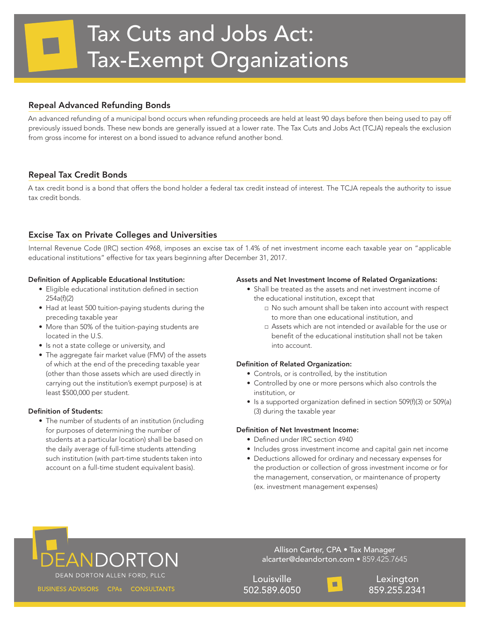# Repeal Advanced Refunding Bonds

An advanced refunding of a municipal bond occurs when refunding proceeds are held at least 90 days before then being used to pay off previously issued bonds. These new bonds are generally issued at a lower rate. The Tax Cuts and Jobs Act (TCJA) repeals the exclusion from gross income for interest on a bond issued to advance refund another bond.

# Repeal Tax Credit Bonds

A tax credit bond is a bond that offers the bond holder a federal tax credit instead of interest. The TCJA repeals the authority to issue tax credit bonds.

# Excise Tax on Private Colleges and Universities

Internal Revenue Code (IRC) section 4968, imposes an excise tax of 1.4% of net investment income each taxable year on "applicable educational institutions" effective for tax years beginning after December 31, 2017.

## Definition of Applicable Educational Institution:

- Eligible educational institution defined in section 254a(f)(2)
- Had at least 500 tuition-paying students during the preceding taxable year
- More than 50% of the tuition-paying students are located in the U.S.
- Is not a state college or university, and
- The aggregate fair market value (FMV) of the assets of which at the end of the preceding taxable year (other than those assets which are used directly in carrying out the institution's exempt purpose) is at least \$500,000 per student.

# Definition of Students:

• The number of students of an institution (including for purposes of determining the number of students at a particular location) shall be based on the daily average of full-time students attending such institution (with part-time students taken into account on a full-time student equivalent basis).

### Assets and Net Investment Income of Related Organizations:

- Shall be treated as the assets and net investment income of the educational institution, except that
	- □ No such amount shall be taken into account with respect to more than one educational institution, and
	- □ Assets which are not intended or available for the use or benefit of the educational institution shall not be taken into account.

# Definition of Related Organization:

- Controls, or is controlled, by the institution
- Controlled by one or more persons which also controls the institution, or
- Is a supported organization defined in section 509(f)(3) or 509(a) (3) during the taxable year

### Definition of Net Investment Income:

- Defined under IRC section 4940
- Includes gross investment income and capital gain net income
- Deductions allowed for ordinary and necessary expenses for the production or collection of gross investment income or for the management, conservation, or maintenance of property (ex. investment management expenses)

# .<br>EANDORTON DEAN DORTON ALLEN FORD, PLLC

Allison Carter, CPA • Tax Manager alcarter@deandorton.com • 859.425.7645

Louisville 502.589.6050



**Lexington** 859.255.2341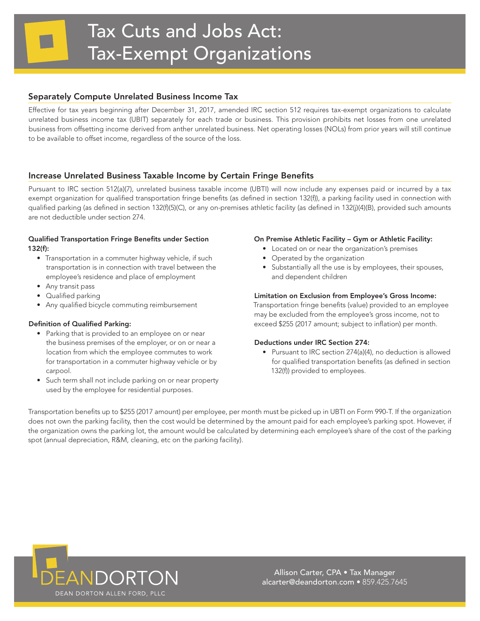# Separately Compute Unrelated Business Income Tax

Effective for tax years beginning after December 31, 2017, amended IRC section 512 requires tax-exempt organizations to calculate unrelated business income tax (UBIT) separately for each trade or business. This provision prohibits net losses from one unrelated business from offsetting income derived from anther unrelated business. Net operating losses (NOLs) from prior years will still continue to be available to offset income, regardless of the source of the loss.

# Increase Unrelated Business Taxable Income by Certain Fringe Benefits

Pursuant to IRC section 512(a)(7), unrelated business taxable income (UBTI) will now include any expenses paid or incurred by a tax exempt organization for qualified transportation fringe benefits (as defined in section 132(f)), a parking facility used in connection with qualified parking (as defined in section 132(f)(5)(C), or any on-premises athletic facility (as defined in 132(j)(4)(B), provided such amounts are not deductible under section 274.

### Qualified Transportation Fringe Benefits under Section 132(f):

- Transportation in a commuter highway vehicle, if such transportation is in connection with travel between the employee's residence and place of employment
- Any transit pass
- Qualified parking
- Any qualified bicycle commuting reimbursement

### Definition of Qualified Parking:

- Parking that is provided to an employee on or near the business premises of the employer, or on or near a location from which the employee commutes to work for transportation in a commuter highway vehicle or by carpool.
- Such term shall not include parking on or near property used by the employee for residential purposes.

## On Premise Athletic Facility – Gym or Athletic Facility:

- Located on or near the organization's premises
- Operated by the organization
- Substantially all the use is by employees, their spouses, and dependent children

### Limitation on Exclusion from Employee's Gross Income:

Transportation fringe benefits (value) provided to an employee may be excluded from the employee's gross income, not to exceed \$255 (2017 amount; subject to inflation) per month.

### Deductions under IRC Section 274:

• Pursuant to IRC section 274(a)(4), no deduction is allowed for qualified transportation benefits (as defined in section 132(f)) provided to employees.

Transportation benefits up to \$255 (2017 amount) per employee, per month must be picked up in UBTI on Form 990-T. If the organization does not own the parking facility, then the cost would be determined by the amount paid for each employee's parking spot. However, if the organization owns the parking lot, the amount would be calculated by determining each employee's share of the cost of the parking spot (annual depreciation, R&M, cleaning, etc on the parking facility).